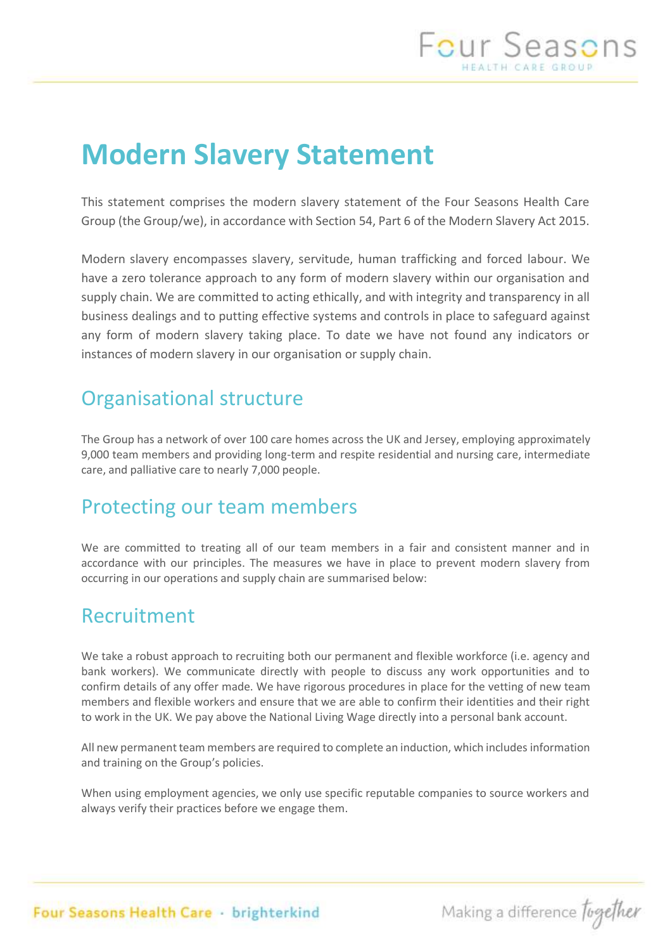# **Modern Slavery Statement**

This statement comprises the modern slavery statement of the Four Seasons Health Care Group (the Group/we), in accordance with Section 54, Part 6 of the Modern Slavery Act 2015.

Modern slavery encompasses slavery, servitude, human trafficking and forced labour. We have a zero tolerance approach to any form of modern slavery within our organisation and supply chain. We are committed to acting ethically, and with integrity and transparency in all business dealings and to putting effective systems and controls in place to safeguard against any form of modern slavery taking place. To date we have not found any indicators or instances of modern slavery in our organisation or supply chain.

## Organisational structure

The Group has a network of over 100 care homes across the UK and Jersey, employing approximately 9,000 team members and providing long-term and respite residential and nursing care, intermediate care, and palliative care to nearly 7,000 people.

#### Protecting our team members

We are committed to treating all of our team members in a fair and consistent manner and in accordance with our principles. The measures we have in place to prevent modern slavery from occurring in our operations and supply chain are summarised below:

## Recruitment

We take a robust approach to recruiting both our permanent and flexible workforce (i.e. agency and bank workers). We communicate directly with people to discuss any work opportunities and to confirm details of any offer made. We have rigorous procedures in place for the vetting of new team members and flexible workers and ensure that we are able to confirm their identities and their right to work in the UK. We pay above the National Living Wage directly into a personal bank account.

All new permanent team members are required to complete an induction, which includes information and training on the Group's policies.

When using employment agencies, we only use specific reputable companies to source workers and always verify their practices before we engage them.

Four Seasons Health Care · brighterkind

Making a difference fugether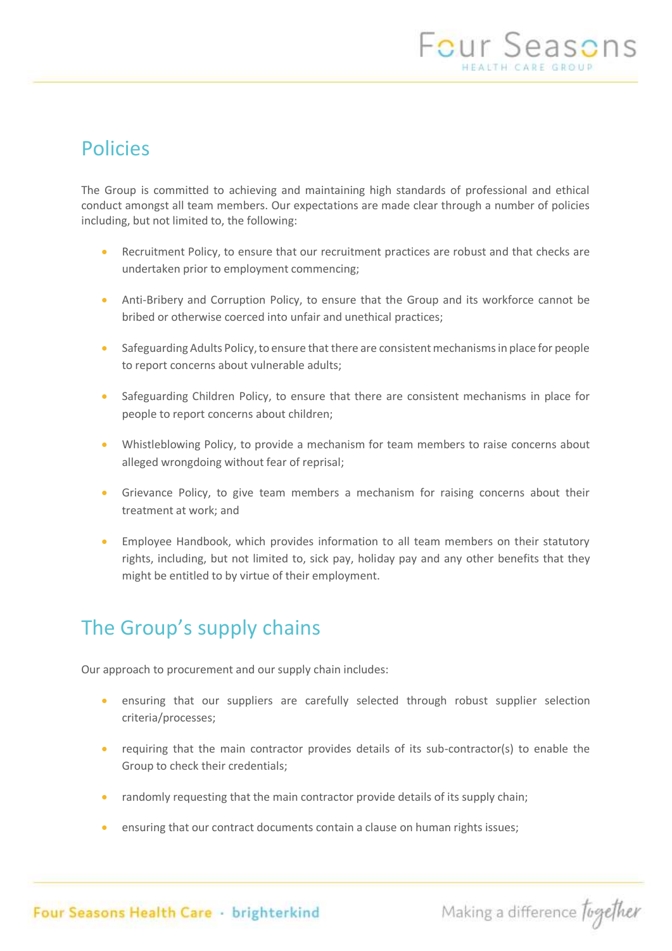## Policies

The Group is committed to achieving and maintaining high standards of professional and ethical conduct amongst all team members. Our expectations are made clear through a number of policies including, but not limited to, the following:

- Recruitment Policy, to ensure that our recruitment practices are robust and that checks are undertaken prior to employment commencing;
- Anti-Bribery and Corruption Policy, to ensure that the Group and its workforce cannot be bribed or otherwise coerced into unfair and unethical practices;
- Safeguarding Adults Policy, to ensure that there are consistent mechanisms in place for people to report concerns about vulnerable adults;
- Safeguarding Children Policy, to ensure that there are consistent mechanisms in place for people to report concerns about children;
- Whistleblowing Policy, to provide a mechanism for team members to raise concerns about alleged wrongdoing without fear of reprisal;
- Grievance Policy, to give team members a mechanism for raising concerns about their treatment at work; and
- Employee Handbook, which provides information to all team members on their statutory rights, including, but not limited to, sick pay, holiday pay and any other benefits that they might be entitled to by virtue of their employment.

## The Group's supply chains

Our approach to procurement and our supply chain includes:

- ensuring that our suppliers are carefully selected through robust supplier selection criteria/processes;
- requiring that the main contractor provides details of its sub-contractor(s) to enable the Group to check their credentials;
- randomly requesting that the main contractor provide details of its supply chain;
- ensuring that our contract documents contain a clause on human rights issues;

Four Seasons Health Care · brighterkind

Making a difference fugether